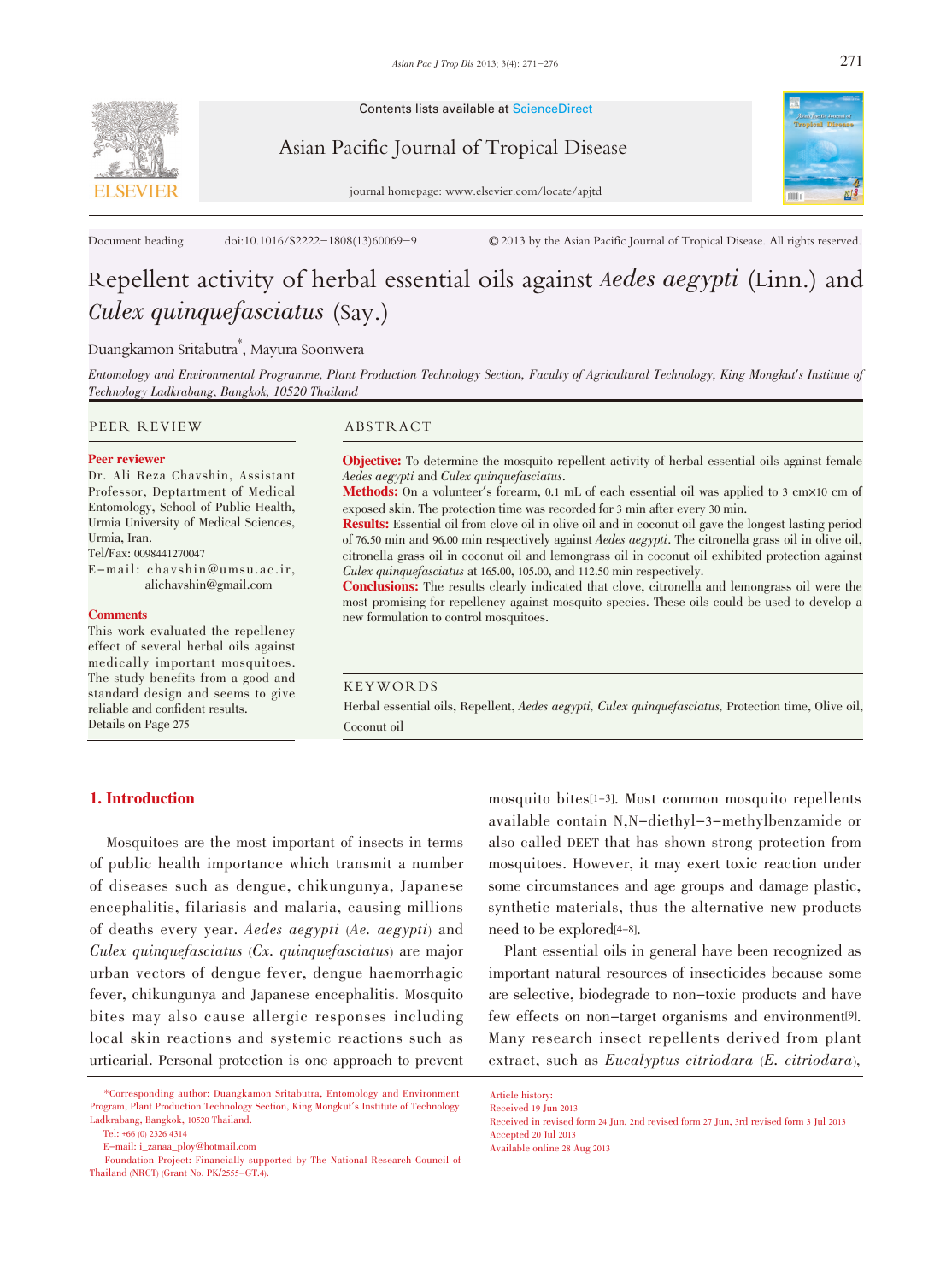

Contents lists available at ScienceDirect

Asian Pacific Journal of Tropical Disease



journal homepage: www.elsevier.com/locate/apjtd

Document heading doi:10.1016/S2222-1808(13)60069-9  $\bullet$  2013 by the Asian Pacific Journal of Tropical Disease. All rights reserved.

# Repellent activity of herbal essential oils against Aedes aegypti (Linn.) and Culex quinquefasciatus (Say.)

# Duangkamon Sritabutra\* , Mayura Soonwera

Entomology and Environmental Programme, Plant Production Technology Section, Faculty of Agricultural Technology, King Mongkut's Institute of Technology Ladkrabang, Bangkok, 10520 Thailand

PEER REVIEW ABSTRACT

### Peer reviewer

Dr. Ali Reza Chavshin, Assistant Professor, Deptartment of Medical Entomology, School of Public Health, Urmia University of Medical Sciences, Urmia, Iran. Tel/Fax: 0098441270047

E-mail: chavshin@umsu.ac.ir, alichavshin@gmail.com

#### **Comments**

This work evaluated the repellency effect of several herbal oils against medically important mosquitoes. The study benefits from a good and standard design and seems to give reliable and confident results. Details on Page 275

Objective: To determine the mosquito repellent activity of herbal essential oils against female Aedes aegypti and Culex quinquefasciatus.

Methods: On a volunteer's forearm, 0.1 mL of each essential oil was applied to 3 cm×10 cm of exposed skin. The protection time was recorded for 3 min after every 30 min.

Results: Essential oil from clove oil in olive oil and in coconut oil gave the longest lasting period of 76.50 min and 96.00 min respectively against Aedes aegypti. The citronella grass oil in olive oil, citronella grass oil in coconut oil and lemongrass oil in coconut oil exhibited protection against Culex quinquefasciatus at 165.00, 105.00, and 112.50 min respectively.

Conclusions: The results clearly indicated that clove, citronella and lemongrass oil were the most promising for repellency against mosquito species. These oils could be used to develop a new formulation to control mosquitoes.

### KEYWORDS

Herbal essential oils, Repellent, Aedes aegypti, Culex quinquefasciatus, Protection time, Olive oil, Coconut oil

# 1. Introduction

Mosquitoes are the most important of insects in terms of public health importance which transmit a number of diseases such as dengue, chikungunya, Japanese encephalitis, filariasis and malaria, causing millions of deaths every year. Aedes aegypti (Ae. aegypti) and Culex quinquefasciatus (Cx. quinquefasciatus) are major urban vectors of dengue fever, dengue haemorrhagic fever, chikungunya and Japanese encephalitis. Mosquito bites may also cause allergic responses including local skin reactions and systemic reactions such as urticarial. Personal protection is one approach to prevent

mosquito bites[1-3]. Most common mosquito repellents available contain N,N-diethyl-3-methylbenzamide or also called DEET that has shown strong protection from mosquitoes. However, it may exert toxic reaction under some circumstances and age groups and damage plastic, synthetic materials, thus the alternative new products need to be explored[4-8].

Plant essential oils in general have been recognized as important natural resources of insecticides because some are selective, biodegrade to non-toxic products and have few effects on non-target organisms and environment[9]. Many research insect repellents derived from plant extract, such as Eucalyptus citriodara (E. citriodara),

<sup>\*</sup>Corresponding author: Duangkamon Sritabutra, Entomology and Environment Program, Plant Production Technology Section, King Mongkut's Institute of Technology Ladkrabang, Bangkok, 10520 Thailand.

Tel: +66 (0) 2326 4314

E-mail: i\_zanaa\_ploy@hotmail.com

Foundation Project: Financially supported by The National Research Council of Thailand (NRCT) (Grant No. PK/2555-GT.4).

Article history: Received 19 Jun 2013

Received in revised form 24 Jun, 2nd revised form 27 Jun, 3rd revised form 3 Jul 2013 Accepted 20 Jul 2013 Available online 28 Aug 2013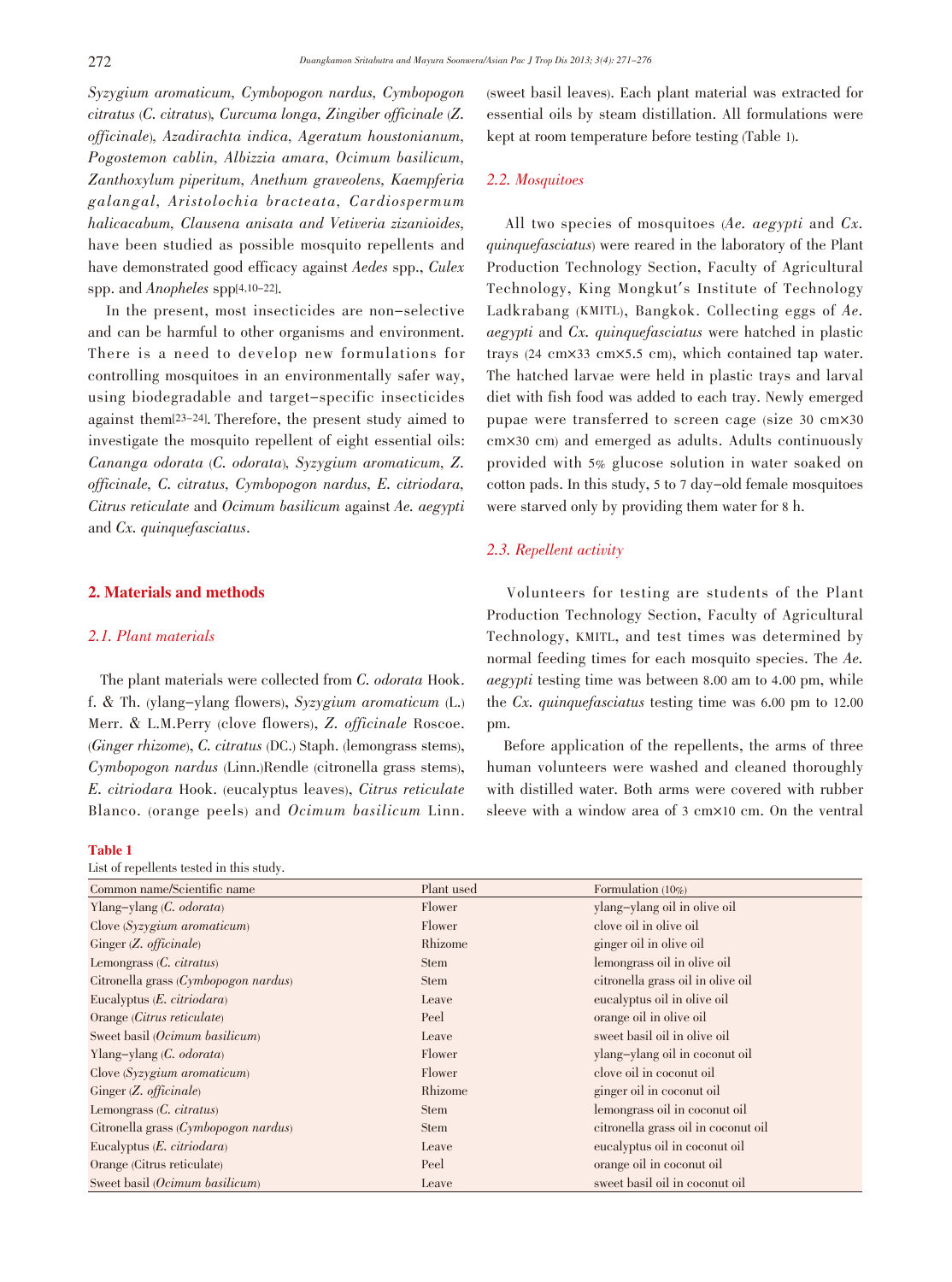Syzygium aromaticum, Cymbopogon nardus, Cymbopogon citratus (C. citratus), Curcuma longa, Zingiber officinale (Z. officinale), Azadirachta indica, Ageratum houstonianum, Pogostemon cablin, Albizzia amara, Ocimum basilicum, Zanthoxylum piperitum, Anethum graveolens, Kaempferia galangal, Aristolochia bracteata, Cardiospermum halicacabum, Clausena anisata and Vetiveria zizanioides, have been studied as possible mosquito repellents and have demonstrated good efficacy against Aedes spp., Culex spp. and Anopheles spp[4,10-22].

In the present, most insecticides are non-selective and can be harmful to other organisms and environment. There is a need to develop new formulations for controlling mosquitoes in an environmentally safer way, using biodegradable and target-specific insecticides against them[23-24]. Therefore, the present study aimed to investigate the mosquito repellent of eight essential oils: Cananga odorata (C. odorata), Syzygium aromaticum, Z. officinale, C. citratus, Cymbopogon nardus, E. citriodara, Citrus reticulate and Ocimum basilicum against Ae. aegypti and Cx. quinquefasciatus.

# 2. Materials and methods

# 2.1. Plant materials

The plant materials were collected from C. odorata Hook. f. & Th. (ylang-ylang flowers), Syzygium aromaticum (L.) Merr. & L.M.Perry (clove flowers), Z. officinale Roscoe. (Ginger rhizome), C. citratus (DC.) Staph. (lemongrass stems), Cymbopogon nardus (Linn.)Rendle (citronella grass stems), E. citriodara Hook. (eucalyptus leaves), Citrus reticulate Blanco. (orange peels) and Ocimum basilicum Linn.

#### Table 1

List of repellents tested in this study.

(sweet basil leaves). Each plant material was extracted for essential oils by steam distillation. All formulations were kept at room temperature before testing (Table 1).

# 2.2. Mosquitoes

All two species of mosquitoes (Ae. aegypti and Cx. quinquefasciatus) were reared in the laboratory of the Plant Production Technology Section, Faculty of Agricultural Technology, King Mongkut's Institute of Technology Ladkrabang (KMITL), Bangkok. Collecting eggs of Ae. aegypti and Cx. quinquefasciatus were hatched in plastic trays (24 cm $\times$ 33 cm $\times$ 5.5 cm), which contained tap water. The hatched larvae were held in plastic trays and larval diet with fish food was added to each tray. Newly emerged pupae were transferred to screen cage (size 30 cm $\times$ 30 cm伊30 cm) and emerged as adults. Adults continuously provided with 5% glucose solution in water soaked on cotton pads. In this study, 5 to 7 day-old female mosquitoes were starved only by providing them water for 8 h.

# 2.3. Repellent activity

Volunteers for testing are students of the Plant Production Technology Section, Faculty of Agricultural Technology, KMITL, and test times was determined by normal feeding times for each mosquito species. The Ae. aegypti testing time was between 8.00 am to 4.00 pm, while the Cx. quinquefasciatus testing time was 6.00 pm to 12.00 pm.

Before application of the repellents, the arms of three human volunteers were washed and cleaned thoroughly with distilled water. Both arms were covered with rubber sleeve with a window area of 3 cm×10 cm. On the ventral

| List of repellents tested in this study. |             |                                     |
|------------------------------------------|-------------|-------------------------------------|
| Common name/Scientific name              | Plant used  | Formulation $(10\%)$                |
| Ylang-ylang $(C. odorata)$               | Flower      | ylang-ylang oil in olive oil        |
| Clove $(Syzyzium$ aromaticum)            | Flower      | clove oil in olive oil              |
| Ginger $(Z.$ officinale)                 | Rhizome     | ginger oil in olive oil             |
| Lemongrass $(C.$ citratus)               | <b>Stem</b> | lemongrass oil in olive oil         |
| Citronella grass $(Cymbopogon \ nardus)$ | <b>Stem</b> | citronella grass oil in olive oil   |
| Eucalyptus $(E. \, citriodara)$          | Leave       | eucalyptus oil in olive oil         |
| Orange (Citrus reticulate)               | Peel        | orange oil in olive oil             |
| Sweet basil (Ocimum basilicum)           | Leave       | sweet basil oil in olive oil        |
| Ylang-ylang $(C. odorata)$               | Flower      | ylang-ylang oil in coconut oil      |
| Clove $(Syzygium$ aromaticum)            | Flower      | clove oil in coconut oil            |
| Ginger $(Z.$ officinale)                 | Rhizome     | ginger oil in coconut oil           |
| Lemongrass $(C.$ citratus)               | <b>Stem</b> | lemongrass oil in coconut oil       |
| Citronella grass $(Cymbopogon \ nardus)$ | <b>Stem</b> | citronella grass oil in coconut oil |
| Eucalyptus $(E. \, citriodara)$          | Leave       | eucalyptus oil in coconut oil       |
| Orange (Citrus reticulate)               | Peel        | orange oil in coconut oil           |
| Sweet basil (Ocimum basilicum)           | Leave       | sweet basil oil in coconut oil      |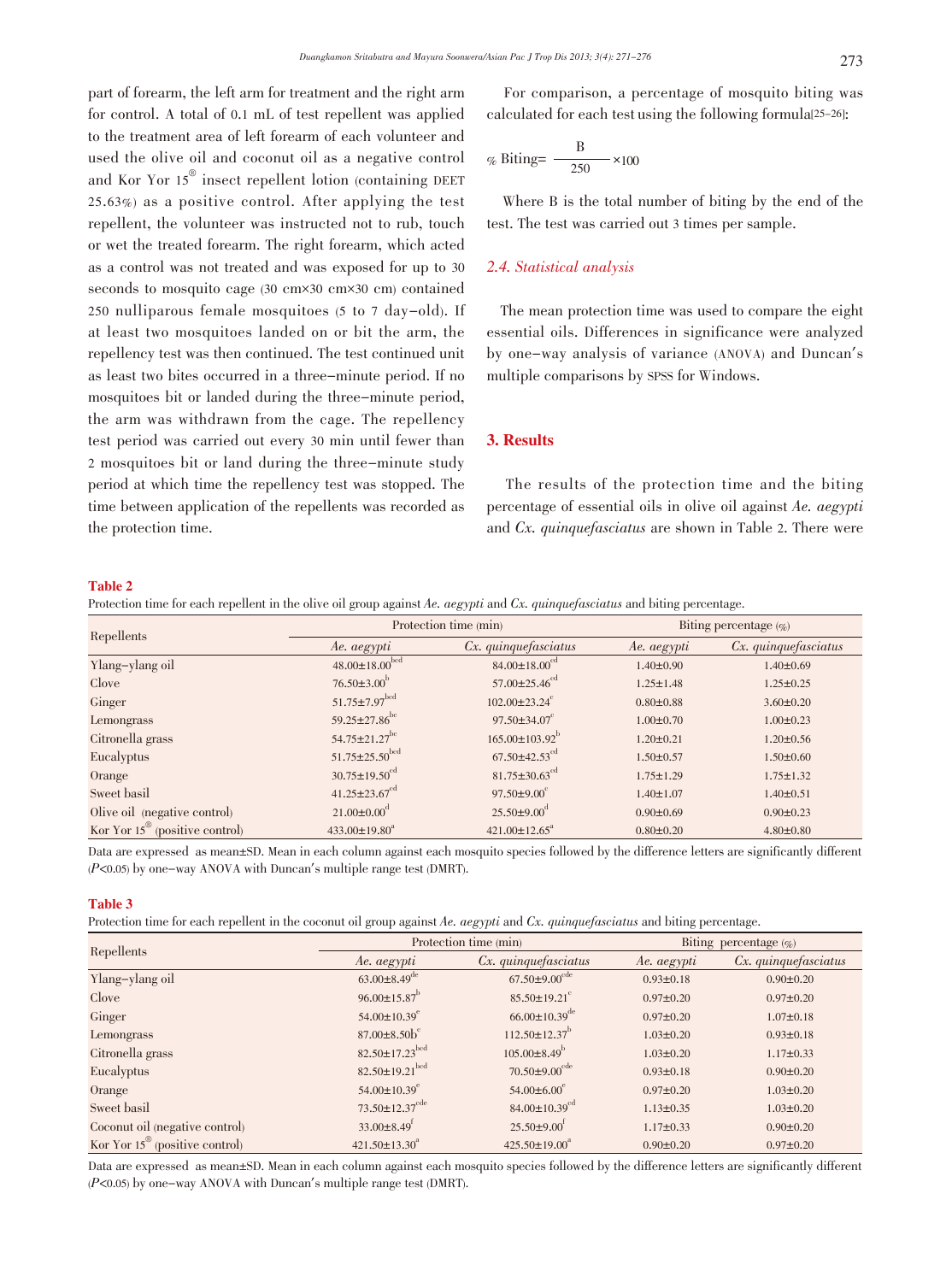part of forearm, the left arm for treatment and the right arm for control. A total of 0.1 mL of test repellent was applied to the treatment area of left forearm of each volunteer and used the olive oil and coconut oil as a negative control and Kor Yor 15 ® insect repellent lotion (containing DEET 25.63%) as a positive control. After applying the test repellent, the volunteer was instructed not to rub, touch or wet the treated forearm. The right forearm, which acted as a control was not treated and was exposed for up to 30 seconds to mosquito cage  $(30 \text{ cm} \times 30 \text{ cm} \times 30 \text{ cm})$  contained 250 nulliparous female mosquitoes (5 to 7 day-old). If at least two mosquitoes landed on or bit the arm, the repellency test was then continued. The test continued unit as least two bites occurred in a three-minute period. If no mosquitoes bit or landed during the three-minute period, the arm was withdrawn from the cage. The repellency test period was carried out every 30 min until fewer than 2 mosquitoes bit or land during the three-minute study period at which time the repellency test was stopped. The time between application of the repellents was recorded as the protection time.

For comparison, a percentage of mosquito biting was calculated for each test using the following formula[25-26]:

$$
\% \text{ Biting} = \frac{B}{250} \times 100
$$

Where B is the total number of biting by the end of the test. The test was carried out 3 times per sample.

# 2.4. Statistical analysis

The mean protection time was used to compare the eight essential oils. Differences in significance were analyzed by one-way analysis of variance (ANOVA) and Duncan's multiple comparisons by SPSS for Windows.

# 3. Results

The results of the protection time and the biting percentage of essential oils in olive oil against Ae. aegypti and Cx. quinquefasciatus are shown in Table 2. There were

#### Table 2

Protection time for each repellent in the olive oil group against Ae. aegypti and Cx. quinquefasciatus and biting percentage.

| Repellents                                   | Protection time (min)            |                                 | Biting percentage $(\% )$ |                      |
|----------------------------------------------|----------------------------------|---------------------------------|---------------------------|----------------------|
|                                              | Ae. aegypti                      | $Cx.$ quinque fasciatus         | Ae. aegypti               | Cx. quinquefasciatus |
| Ylang-ylang oil                              | $48.00 \pm 18.00$ <sup>bcd</sup> | $84.00 \pm 18.00$ <sup>cd</sup> | $1.40 \pm 0.90$           | $1.40 \pm 0.69$      |
| Clove                                        | $76.50\pm3.00^{\rm b}$           | $57.00 \pm 25.46$ <sup>ed</sup> | $1.25 \pm 1.48$           | $1.25 \pm 0.25$      |
| Ginger                                       | $51.75 \pm 7.97$ <sup>bcd</sup>  | $102.00 \pm 23.24$ <sup>c</sup> | $0.80 \pm 0.88$           | $3.60 \pm 0.20$      |
| Lemongrass                                   | $59.25 \pm 27.86$ <sup>bc</sup>  | $97.50 \pm 34.07$ <sup>c</sup>  | $1.00 \pm 0.70$           | $1.00 \pm 0.23$      |
| Citronella grass                             | $54.75 \pm 21.27$ <sup>bc</sup>  | $165.00\pm103.92^{\mathrm{b}}$  | $1.20 \pm 0.21$           | $1.20 \pm 0.56$      |
| Eucalyptus                                   | $51.75 \pm 25.50$ <sup>bcd</sup> | $67.50 \pm 42.53$ <sup>ed</sup> | $1.50 \pm 0.57$           | $1.50 \pm 0.60$      |
| Orange                                       | $30.75 \pm 19.50$ <sup>cd</sup>  | $81.75 \pm 30.63$ <sup>ed</sup> | $1.75 \pm 1.29$           | $1.75 \pm 1.32$      |
| Sweet basil                                  | $41.25 \pm 23.67$ <sup>cd</sup>  | $97.50 \pm 9.00^{\circ}$        | $1.40 \pm 1.07$           | $1.40 \pm 0.51$      |
| Olive oil (negative control)                 | $21.00 \pm 0.00$ <sup>d</sup>    | $25.50\pm9.00^{\circ}$          | $0.90 \pm 0.69$           | $0.90 \pm 0.23$      |
| Kor Yor $15^{\circ\circ}$ (positive control) | $433.00 \pm 19.80^a$             | $421.00 \pm 12.65$ <sup>a</sup> | $0.80 \pm 0.20$           | $4.80 \pm 0.80$      |

Data are expressed as mean±SD. Mean in each column against each mosquito species followed by the difference letters are significantly different (P<0.05) by one-way ANOVA with Duncan's multiple range test (DMRT).

### Table 3

Protection time for each repellent in the coconut oil group against Ae. aegypti and Cx. quinquefasciatus and biting percentage.

| Repellents                                   | Protection time (min)            |                                 | Biting percentage (%) |                      |
|----------------------------------------------|----------------------------------|---------------------------------|-----------------------|----------------------|
|                                              | Ae. aegypti                      | $Cx.$ quinque fasciatus         | Ae. aegypti           | Cx. quinquefasciatus |
| Ylang-ylang oil                              | $63.00 \pm 8.49$ <sup>de</sup>   | $67.50 \pm 9.00$ <sup>cde</sup> | $0.93 \pm 0.18$       | $0.90 \pm 0.20$      |
| Clove                                        | $96.00 \pm 15.87^{\circ}$        | $85.50 \pm 19.21$ <sup>c</sup>  | $0.97 \pm 0.20$       | $0.97 \pm 0.20$      |
| Ginger                                       | $54.00 \pm 10.39$ <sup>e</sup>   | $66.00 \pm 10.39$ <sup>de</sup> | $0.97 \pm 0.20$       | $1.07 \pm 0.18$      |
| Lemongrass                                   | $87.00 \pm 8.50$ <sup>c</sup>    | $112.50 \pm 12.37^{\mathrm{b}}$ | $1.03 \pm 0.20$       | $0.93 \pm 0.18$      |
| Citronella grass                             | $82.50 \pm 17.23$ bed            | $105.00\pm8.49^{\rm b}$         | $1.03 \pm 0.20$       | $1.17 \pm 0.33$      |
| Eucalyptus                                   | $82.50 \pm 19.21$ <sup>bcd</sup> | $70.50 \pm 9.00$ <sup>cde</sup> | $0.93 \pm 0.18$       | $0.90 \pm 0.20$      |
| Orange                                       | $54.00 \pm 10.39$ <sup>e</sup>   | $54.00\pm6.00^{\circ}$          | $0.97 \pm 0.20$       | $1.03 \pm 0.20$      |
| Sweet basil                                  | $73.50 \pm 12.37$ <sup>cde</sup> | $84.00 \pm 10.39$ <sup>cd</sup> | $1.13 \pm 0.35$       | $1.03 \pm 0.20$      |
| Coconut oil (negative control)               | $33.00 \pm 8.49$ <sup>T</sup>    | $25.50\pm9.00$ <sup>I</sup>     | $1.17 \pm 0.33$       | $0.90 \pm 0.20$      |
| Kor Yor $15^{\circ\circ}$ (positive control) | $421.50 \pm 13.30^a$             | $425.50 \pm 19.00^a$            | $0.90 \pm 0.20$       | $0.97 \pm 0.20$      |

Data are expressed as mean±SD. Mean in each column against each mosquito species followed by the difference letters are significantly different (P<0.05) by one-way ANOVA with Duncan's multiple range test (DMRT).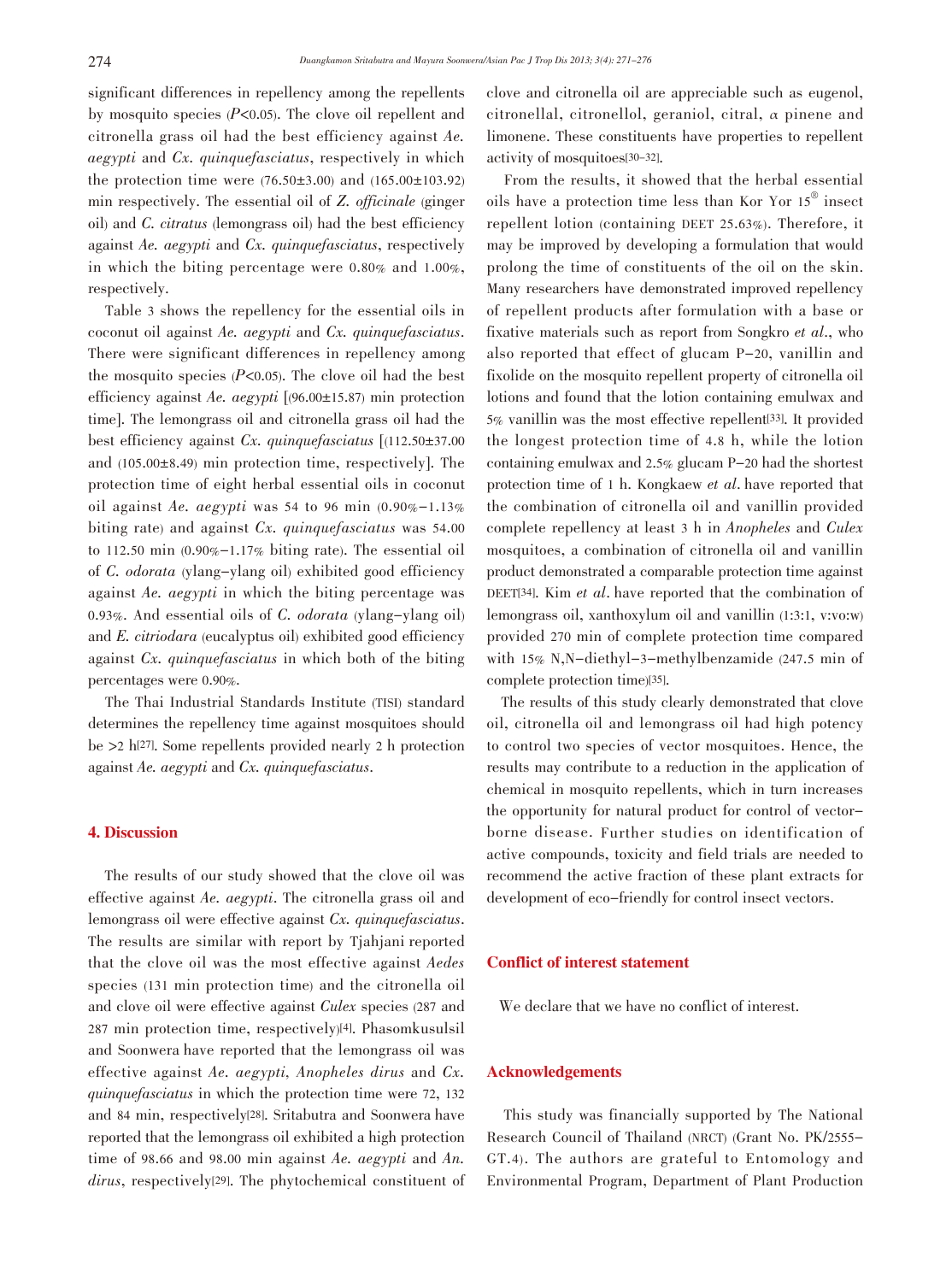significant differences in repellency among the repellents by mosquito species  $(P<0.05)$ . The clove oil repellent and citronella grass oil had the best efficiency against Ae. aegypti and Cx. quinquefasciatus, respectively in which the protection time were  $(76.50 \pm 3.00)$  and  $(165.00 \pm 103.92)$ min respectively. The essential oil of Z. officinale (ginger oil) and C. citratus (lemongrass oil) had the best efficiency against Ae. aegypti and Cx. quinquefasciatus, respectively in which the biting percentage were 0.80% and 1.00%, respectively.

Table 3 shows the repellency for the essential oils in coconut oil against Ae. aegypti and Cx. quinquefasciatus. There were significant differences in repellency among the mosquito species  $(P<0.05)$ . The clove oil had the best efficiency against Ae.  $aegypti$  [(96.00 $\pm$ 15.87) min protection time]. The lemongrass oil and citronella grass oil had the best efficiency against Cx. quinque fasciatus  $(112.50 \pm 37.00$ and  $(105.00\pm8.49)$  min protection time, respectively]. The protection time of eight herbal essential oils in coconut oil against Ae. aegypti was 54 to 96 min  $(0.90\% - 1.13\%)$ biting rate) and against Cx. quinquefasciatus was 54.00 to 112.50 min (0.90%-1.17% biting rate). The essential oil of C. odorata (ylang-ylang oil) exhibited good efficiency against Ae. aegypti in which the biting percentage was 0.93%. And essential oils of C. odorata (ylang-ylang oil) and E. citriodara (eucalyptus oil) exhibited good efficiency against  $Cx$ . quinque fasciatus in which both of the biting percentages were 0.90%.

The Thai Industrial Standards Institute (TISI) standard determines the repellency time against mosquitoes should be >2 h[27]. Some repellents provided nearly 2 h protection against Ae. aegypti and Cx. quinquefasciatus.

# 4. Discussion

The results of our study showed that the clove oil was effective against Ae. aegypti. The citronella grass oil and lemongrass oil were effective against Cx. quinquefasciatus. The results are similar with report by Tjahjani reported that the clove oil was the most effective against Aedes species (131 min protection time) and the citronella oil and clove oil were effective against Culex species (287 and 287 min protection time, respectively)[4]. Phasomkusulsil and Soonwera have reported that the lemongrass oil was effective against Ae. aegypti, Anopheles dirus and Cx. quinquefasciatus in which the protection time were 72, <sup>132</sup> and 84 min, respectively[28]. Sritabutra and Soonwera have reported that the lemongrass oil exhibited a high protection time of 98.66 and 98.00 min against Ae. aegypti and An. dirus, respectively<sup>[29]</sup>. The phytochemical constituent of clove and citronella oil are appreciable such as eugenol, citronellal, citronellol, geraniol, citral, α pinene and limonene. These constituents have properties to repellent activity of mosquitoes[30-32].

From the results, it showed that the herbal essential oils have a protection time less than Kor Yor 15 ® insect repellent lotion (containing DEET 25.63%). Therefore, it may be improved by developing a formulation that would prolong the time of constituents of the oil on the skin. Many researchers have demonstrated improved repellency of repellent products after formulation with a base or fixative materials such as report from Songkro et al., who also reported that effect of glucam P-20, vanillin and fixolide on the mosquito repellent property of citronella oil lotions and found that the lotion containing emulwax and 5% vanillin was the most effective repellent[33]. It provided the longest protection time of 4.8 h, while the lotion containing emulwax and 2.5% glucam P-20 had the shortest protection time of <sup>1</sup> h. Kongkaew et al. have reported that the combination of citronella oil and vanillin provided complete repellency at least <sup>3</sup> h in Anopheles and Culex mosquitoes, a combination of citronella oil and vanillin product demonstrated a comparable protection time against DEET<sup>[34]</sup>. Kim *et al.* have reported that the combination of lemongrass oil, xanthoxylum oil and vanillin (1:3:1, v:vo:w) provided 270 min of complete protection time compared with 15% N,N-diethyl-3-methylbenzamide (247.5 min of complete protection time)[35].

The results of this study clearly demonstrated that clove oil, citronella oil and lemongrass oil had high potency to control two species of vector mosquitoes. Hence, the results may contribute to a reduction in the application of chemical in mosquito repellents, which in turn increases the opportunity for natural product for control of vectorborne disease. Further studies on identification of active compounds, toxicity and field trials are needed to recommend the active fraction of these plant extracts for development of eco-friendly for control insect vectors.

# Conflict of interest statement

We declare that we have no conflict of interest.

# Acknowledgements

This study was financially supported by The National Research Council of Thailand (NRCT) (Grant No. PK/2555- GT.4). The authors are grateful to Entomology and Environmental Program, Department of Plant Production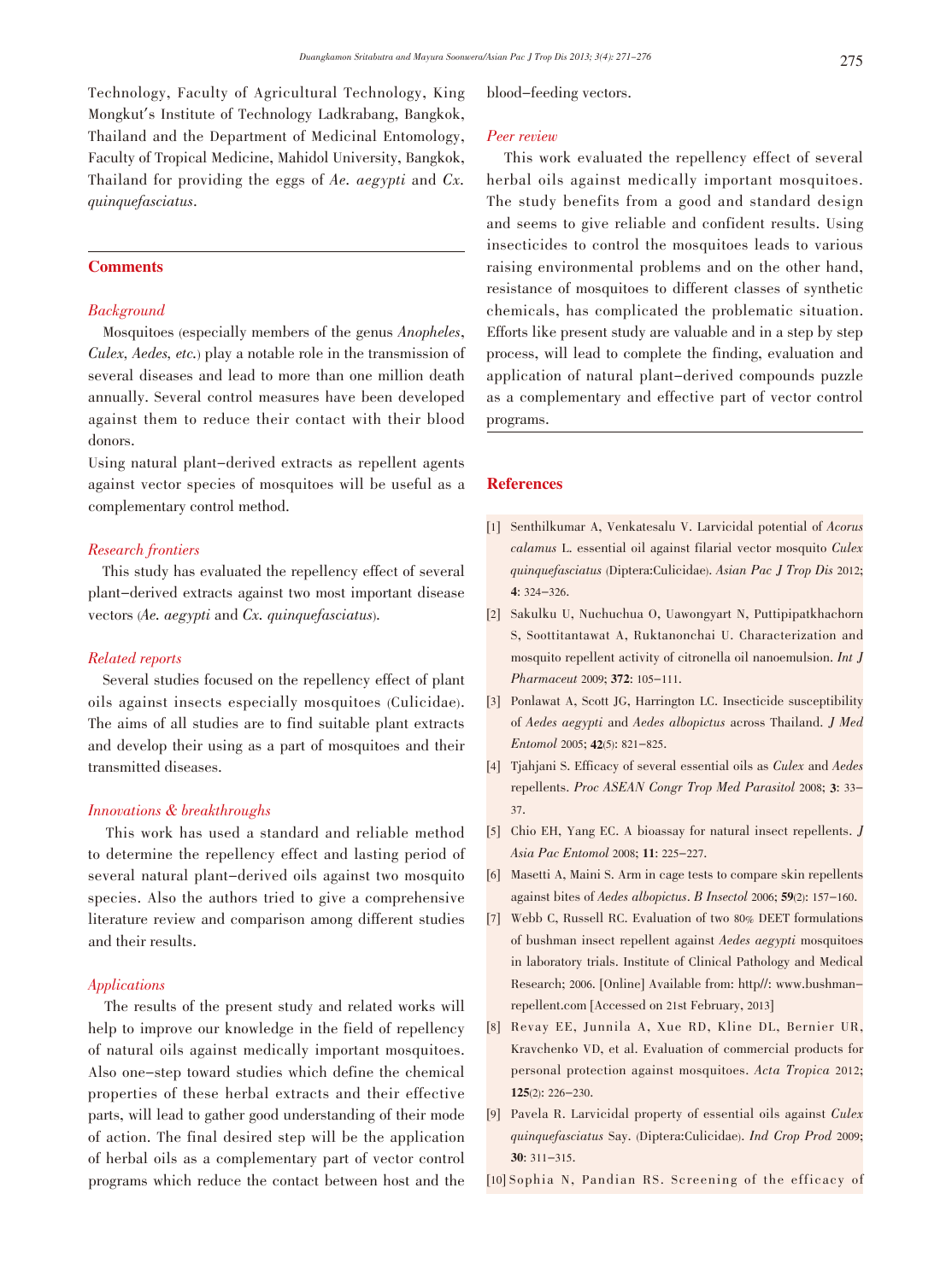Technology, Faculty of Agricultural Technology, King Mongkut's Institute of Technology Ladkrabang, Bangkok, Thailand and the Department of Medicinal Entomology, Faculty of Tropical Medicine, Mahidol University, Bangkok, Thailand for providing the eggs of Ae. aegypti and Cx. quinquefasciatus.

# **Comments**

# Background

Mosquitoes (especially members of the genus Anopheles, Culex, Aedes, etc.) play a notable role in the transmission of several diseases and lead to more than one million death annually. Several control measures have been developed against them to reduce their contact with their blood donors.

Using natural plant-derived extracts as repellent agents against vector species of mosquitoes will be useful as a complementary control method.

# Research frontiers

This study has evaluated the repellency effect of several plant-derived extracts against two most important disease vectors (Ae. aegypti and Cx. quinquefasciatus).

# Related reports

Several studies focused on the repellency effect of plant oils against insects especially mosquitoes (Culicidae). The aims of all studies are to find suitable plant extracts and develop their using as a part of mosquitoes and their transmitted diseases.

# Innovations & breakthroughs

This work has used a standard and reliable method to determine the repellency effect and lasting period of several natural plant-derived oils against two mosquito species. Also the authors tried to give a comprehensive literature review and comparison among different studies and their results.

# Applications

The results of the present study and related works will help to improve our knowledge in the field of repellency of natural oils against medically important mosquitoes. Also one-step toward studies which define the chemical properties of these herbal extracts and their effective parts, will lead to gather good understanding of their mode of action. The final desired step will be the application of herbal oils as a complementary part of vector control programs which reduce the contact between host and the blood-feeding vectors.

# Peer review

This work evaluated the repellency effect of several herbal oils against medically important mosquitoes. The study benefits from a good and standard design and seems to give reliable and confident results. Using insecticides to control the mosquitoes leads to various raising environmental problems and on the other hand, resistance of mosquitoes to different classes of synthetic chemicals, has complicated the problematic situation. Efforts like present study are valuable and in a step by step process, will lead to complete the finding, evaluation and application of natural plant-derived compounds puzzle as a complementary and effective part of vector control programs.

# References

- [1] Senthilkumar A, Venkatesalu V. Larvicidal potential of Acorus calamus L. essential oil against filarial vector mosquito Culex quinquefasciatus (Diptera:Culicidae). Asian Pac J Trop Dis 2012; 4: 324-326.
- [2] Sakulku U, Nuchuchua O, Uawongyart N, Puttipipatkhachorn S, Soottitantawat A, Ruktanonchai U. Characterization and mosquito repellent activity of citronella oil nanoemulsion. Int J Pharmaceut 2009; 372: 105-111.
- [3] Ponlawat A, Scott JG, Harrington LC. Insecticide susceptibility of Aedes aegypti and Aedes albopictus across Thailand. J Med Entomol 2005; 42(5): 821-825.
- [4] Tjahjani S. Efficacy of several essential oils as Culex and Aedes repellents. Proc ASEAN Congr Trop Med Parasitol 2008; 3: 33- 37.
- [5] Chio EH, Yang EC. A bioassay for natural insect repellents. J Asia Pac Entomol 2008; 11: 225-227.
- [6] Masetti A, Maini S. Arm in cage tests to compare skin repellents against bites of Aedes albopictus. B Insectol 2006; 59(2): 157-160.
- [7] Webb C, Russell RC. Evaluation of two 80% DEET formulations of bushman insect repellent against Aedes aegypti mosquitoes in laboratory trials. Institute of Clinical Pathology and Medical Research; 2006. [Online] Available from: http//: www.bushmanrepellent.com [Accessed on 21st February, 2013]
- [8] Revay EE, Junnila A, Xue RD, Kline DL, Bernier UR, Kravchenko VD, et al. Evaluation of commercial products for personal protection against mosquitoes. Acta Tropica 2012; 125(2): 226-230.
- [9] Pavela R. Larvicidal property of essential oils against Culex quinquefasciatus Say. (Diptera:Culicidae). Ind Crop Prod 2009; 30: 311-315.
- [10] Sophia N, Pandian RS. Screening of the efficacy of